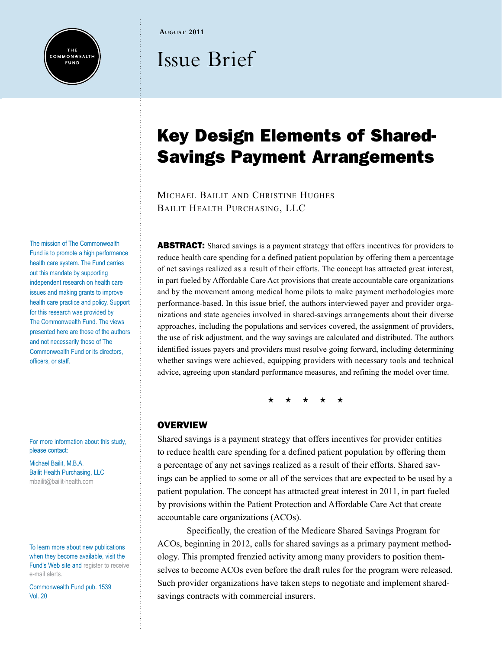

**August 2011**

# Issue Brief

## Key Design Elements of Shared-Savings Payment Arrangements

Michael Bailit and Christine Hughes Bailit Health Purchasing, LLC

**ABSTRACT:** Shared savings is a payment strategy that offers incentives for providers to reduce health care spending for a defined patient population by offering them a percentage of net savings realized as a result of their efforts. The concept has attracted great interest, in part fueled by Affordable Care Act provisions that create accountable care organizations and by the movement among medical home pilots to make payment methodologies more performance-based. In this issue brief, the authors interviewed payer and provider organizations and state agencies involved in shared-savings arrangements about their diverse approaches, including the populations and services covered, the assignment of providers, the use of risk adjustment, and the way savings are calculated and distributed. The authors identified issues payers and providers must resolve going forward, including determining whether savings were achieved, equipping providers with necessary tools and technical advice, agreeing upon standard performance measures, and refining the model over time.

\* \* \* \* \*

#### **OVERVIEW**

Shared savings is a payment strategy that offers incentives for provider entities to reduce health care spending for a defined patient population by offering them a percentage of any net savings realized as a result of their efforts. Shared savings can be applied to some or all of the services that are expected to be used by a patient population. The concept has attracted great interest in 2011, in part fueled by provisions within the Patient Protection and Affordable Care Act that create accountable care organizations (ACOs).

Specifically, the creation of the Medicare Shared Savings Program for ACOs, beginning in 2012, calls for shared savings as a primary payment methodology. This prompted frenzied activity among many providers to position themselves to become ACOs even before the draft rules for the program were released. Such provider organizations have taken steps to negotiate and implement sharedsavings contracts with commercial insurers.

The mission of The Commonwealth Fund is to promote a high performance health care system. The Fund carries out this mandate by supporting independent research on health care issues and making grants to improve health care practice and policy. Support for this research was provided by The Commonwealth Fund. The views presented here are those of the authors and not necessarily those of The Commonwealth Fund or its directors, officers, or staff.

For more information about this study, please contact:

Michael Bailit, M.B.A. Bailit Health Purchasing, LLC [mbailit@bailit-health.com](mailto:mbailit%40bailit-health.com?subject=)

To learn more about new publications when they become available, visit the Fund's Web site and [register to receive](http://www.commonwealthfund.org/myprofile/myprofile_edit.htm)  [e-mail alerts](http://www.commonwealthfund.org/myprofile/myprofile_edit.htm).

Commonwealth Fund pub. 1539 Vol. 20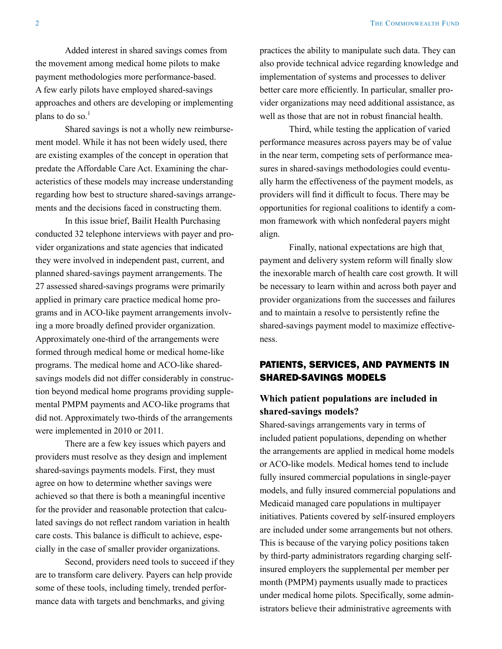Added interest in shared savings comes from the movement among medical home pilots to make payment methodologies more performance-based. A few early pilots have employed shared-savings approaches and others are developing or implementing plans to do so. $<sup>1</sup>$ </sup>

Shared savings is not a wholly new reimbursement model. While it has not been widely used, there are existing examples of the concept in operation that predate the Affordable Care Act. Examining the characteristics of these models may increase understanding regarding how best to structure shared-savings arrangements and the decisions faced in constructing them.

In this issue brief, Bailit Health Purchasing conducted 32 telephone interviews with payer and provider organizations and state agencies that indicated they were involved in independent past, current, and planned shared-savings payment arrangements. The 27 assessed shared-savings programs were primarily applied in primary care practice medical home programs and in ACO-like payment arrangements involving a more broadly defined provider organization. Approximately one-third of the arrangements were formed through medical home or medical home-like programs. The medical home and ACO-like sharedsavings models did not differ considerably in construction beyond medical home programs providing supplemental PMPM payments and ACO-like programs that did not. Approximately two-thirds of the arrangements were implemented in 2010 or 2011.

There are a few key issues which payers and providers must resolve as they design and implement shared-savings payments models. First, they must agree on how to determine whether savings were achieved so that there is both a meaningful incentive for the provider and reasonable protection that calculated savings do not reflect random variation in health care costs. This balance is difficult to achieve, especially in the case of smaller provider organizations.

Second, providers need tools to succeed if they are to transform care delivery. Payers can help provide some of these tools, including timely, trended performance data with targets and benchmarks, and giving

practices the ability to manipulate such data. They can also provide technical advice regarding knowledge and implementation of systems and processes to deliver better care more efficiently. In particular, smaller provider organizations may need additional assistance, as well as those that are not in robust financial health.

Third, while testing the application of varied performance measures across payers may be of value in the near term, competing sets of performance measures in shared-savings methodologies could eventually harm the effectiveness of the payment models, as providers will find it difficult to focus. There may be opportunities for regional coalitions to identify a common framework with which nonfederal payers might align.

Finally, national expectations are high that payment and delivery system reform will finally slow the inexorable march of health care cost growth. It will be necessary to learn within and across both payer and provider organizations from the successes and failures and to maintain a resolve to persistently refine the shared-savings payment model to maximize effectiveness.

#### PATIENTS, SERVICES, AND PAYMENTS IN SHARED-SAVINGS MODELS

#### **Which patient populations are included in shared-savings models?**

Shared-savings arrangements vary in terms of included patient populations, depending on whether the arrangements are applied in medical home models or ACO-like models. Medical homes tend to include fully insured commercial populations in single-payer models, and fully insured commercial populations and Medicaid managed care populations in multipayer initiatives. Patients covered by self-insured employers are included under some arrangements but not others. This is because of the varying policy positions taken by third-party administrators regarding charging selfinsured employers the supplemental per member per month (PMPM) payments usually made to practices under medical home pilots. Specifically, some administrators believe their administrative agreements with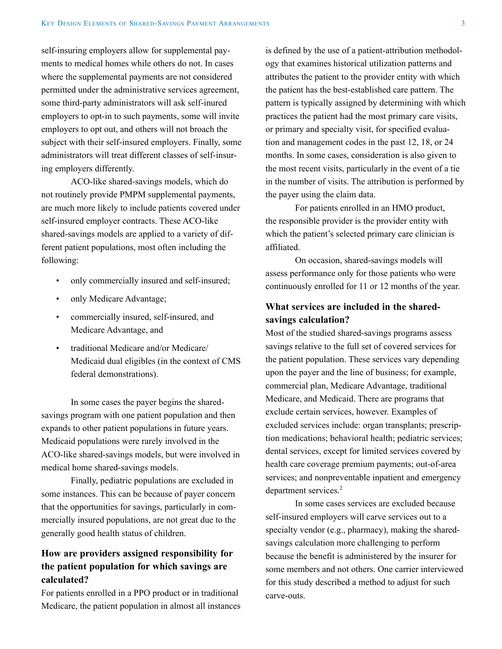self-insuring employers allow for supplemental payments to medical homes while others do not. In cases where the supplemental payments are not considered permitted under the administrative services agreement, some third-party administrators will ask self-inured employers to opt-in to such payments, some will invite employers to opt out, and others will not broach the subject with their self-insured employers. Finally, some administrators will treat different classes of self-insuring employers differently.

ACO-like shared-savings models, which do not routinely provide PMPM supplemental payments, are much more likely to include patients covered under self-insured employer contracts. These ACO-like shared-savings models are applied to a variety of different patient populations, most often including the following:

- only commercially insured and self-insured;
- only Medicare Advantage;
- commercially insured, self-insured, and Medicare Advantage, and
- traditional Medicare and/or Medicare/ Medicaid dual eligibles (in the context of CMS federal demonstrations).

In some cases the payer begins the sharedsavings program with one patient population and then expands to other patient populations in future years. Medicaid populations were rarely involved in the ACO-like shared-savings models, but were involved in medical home shared-savings models.

Finally, pediatric populations are excluded in some instances. This can be because of payer concern that the opportunities for savings, particularly in commercially insured populations, are not great due to the generally good health status of children.

#### **How are providers assigned responsibility for the patient population for which savings are calculated?**

For patients enrolled in a PPO product or in traditional Medicare, the patient population in almost all instances is defined by the use of a patient-attribution methodology that examines historical utilization patterns and attributes the patient to the provider entity with which the patient has the best-established care pattern. The pattern is typically assigned by determining with which practices the patient had the most primary care visits, or primary and specialty visit, for specified evaluation and management codes in the past 12, 18, or 24 months. In some cases, consideration is also given to the most recent visits, particularly in the event of a tie in the number of visits. The attribution is performed by the payer using the claim data.

For patients enrolled in an HMO product, the responsible provider is the provider entity with which the patient's selected primary care clinician is affiliated.

On occasion, shared-savings models will assess performance only for those patients who were continuously enrolled for 11 or 12 months of the year.

### **What services are included in the sharedsavings calculation?**

Most of the studied shared-savings programs assess savings relative to the full set of covered services for the patient population. These services vary depending upon the payer and the line of business; for example, commercial plan, Medicare Advantage, traditional Medicare, and Medicaid. There are programs that exclude certain services, however. Examples of excluded services include: organ transplants; prescription medications; behavioral health; pediatric services; dental services, except for limited services covered by health care coverage premium payments; out-of-area services; and nonpreventable inpatient and emergency department services.<sup>2</sup>

In some cases services are excluded because self-insured employers will carve services out to a specialty vendor (e.g., pharmacy), making the sharedsavings calculation more challenging to perform because the benefit is administered by the insurer for some members and not others. One carrier interviewed for this study described a method to adjust for such carve-outs.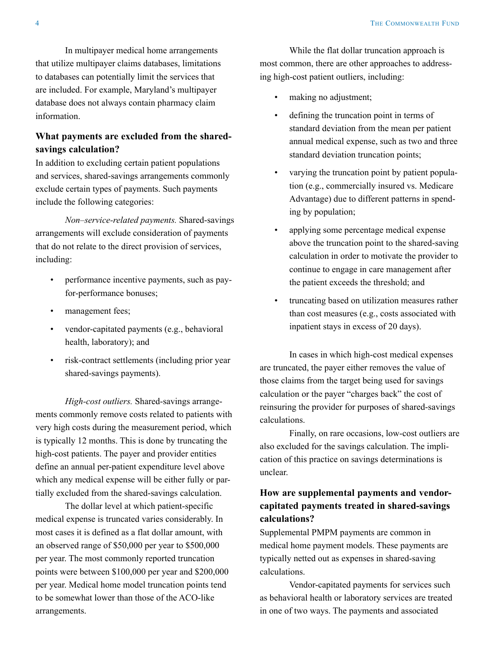In multipayer medical home arrangements that utilize multipayer claims databases, limitations to databases can potentially limit the services that are included. For example, Maryland's multipayer database does not always contain pharmacy claim information.

## **What payments are excluded from the sharedsavings calculation?**

In addition to excluding certain patient populations and services, shared-savings arrangements commonly exclude certain types of payments. Such payments include the following categories:

*Non–service-related payments.* Shared-savings arrangements will exclude consideration of payments that do not relate to the direct provision of services, including:

- performance incentive payments, such as payfor-performance bonuses;
- management fees;
- vendor-capitated payments (e.g., behavioral health, laboratory); and
- risk-contract settlements (including prior year shared-savings payments).

*High-cost outliers.* Shared-savings arrangements commonly remove costs related to patients with very high costs during the measurement period, which is typically 12 months. This is done by truncating the high-cost patients. The payer and provider entities define an annual per-patient expenditure level above which any medical expense will be either fully or partially excluded from the shared-savings calculation.

The dollar level at which patient-specific medical expense is truncated varies considerably. In most cases it is defined as a flat dollar amount, with an observed range of \$50,000 per year to \$500,000 per year. The most commonly reported truncation points were between \$100,000 per year and \$200,000 per year. Medical home model truncation points tend to be somewhat lower than those of the ACO-like arrangements.

While the flat dollar truncation approach is most common, there are other approaches to addressing high-cost patient outliers, including:

- making no adjustment;
- defining the truncation point in terms of standard deviation from the mean per patient annual medical expense, such as two and three standard deviation truncation points;
- varying the truncation point by patient population (e.g., commercially insured vs. Medicare Advantage) due to different patterns in spending by population;
- applying some percentage medical expense above the truncation point to the shared-saving calculation in order to motivate the provider to continue to engage in care management after the patient exceeds the threshold; and
- truncating based on utilization measures rather than cost measures (e.g., costs associated with inpatient stays in excess of 20 days).

In cases in which high-cost medical expenses are truncated, the payer either removes the value of those claims from the target being used for savings calculation or the payer "charges back" the cost of reinsuring the provider for purposes of shared-savings calculations.

Finally, on rare occasions, low-cost outliers are also excluded for the savings calculation. The implication of this practice on savings determinations is unclear.

## **How are supplemental payments and vendorcapitated payments treated in shared-savings calculations?**

Supplemental PMPM payments are common in medical home payment models. These payments are typically netted out as expenses in shared-saving calculations.

Vendor-capitated payments for services such as behavioral health or laboratory services are treated in one of two ways. The payments and associated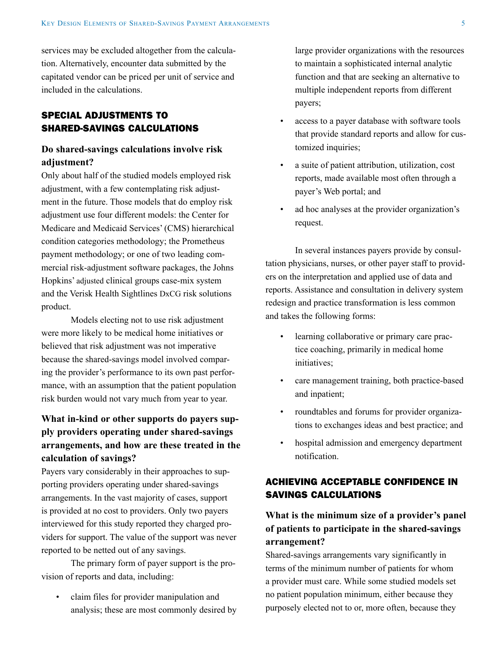services may be excluded altogether from the calculation. Alternatively, encounter data submitted by the capitated vendor can be priced per unit of service and included in the calculations.

#### SPECIAL ADJUSTMENTS TO SHARED-SAVINGS CALCULATIONS

#### **Do shared-savings calculations involve risk adjustment?**

Only about half of the studied models employed risk adjustment, with a few contemplating risk adjustment in the future. Those models that do employ risk adjustment use four different models: the Center for Medicare and Medicaid Services' (CMS) hierarchical condition categories methodology; the Prometheus payment methodology; or one of two leading commercial risk-adjustment software packages, the Johns Hopkins' adjusted clinical groups case-mix system and the Verisk Health Sightlines DxCG risk solutions product.

Models electing not to use risk adjustment were more likely to be medical home initiatives or believed that risk adjustment was not imperative because the shared-savings model involved comparing the provider's performance to its own past performance, with an assumption that the patient population risk burden would not vary much from year to year.

## **What in-kind or other supports do payers supply providers operating under shared-savings arrangements, and how are these treated in the calculation of savings?**

Payers vary considerably in their approaches to supporting providers operating under shared-savings arrangements. In the vast majority of cases, support is provided at no cost to providers. Only two payers interviewed for this study reported they charged providers for support. The value of the support was never reported to be netted out of any savings.

The primary form of payer support is the provision of reports and data, including:

• claim files for provider manipulation and analysis; these are most commonly desired by large provider organizations with the resources to maintain a sophisticated internal analytic function and that are seeking an alternative to multiple independent reports from different payers;

- access to a payer database with software tools that provide standard reports and allow for customized inquiries;
- a suite of patient attribution, utilization, cost reports, made available most often through a payer's Web portal; and
- ad hoc analyses at the provider organization's request.

In several instances payers provide by consultation physicians, nurses, or other payer staff to providers on the interpretation and applied use of data and reports. Assistance and consultation in delivery system redesign and practice transformation is less common and takes the following forms:

- learning collaborative or primary care practice coaching, primarily in medical home initiatives;
- care management training, both practice-based and inpatient;
- roundtables and forums for provider organizations to exchanges ideas and best practice; and
- hospital admission and emergency department notification.

## ACHIEVING ACCEPTABLE CONFIDENCE IN SAVINGS CALCULATIONS

## **What is the minimum size of a provider's panel of patients to participate in the shared-savings arrangement?**

Shared-savings arrangements vary significantly in terms of the minimum number of patients for whom a provider must care. While some studied models set no patient population minimum, either because they purposely elected not to or, more often, because they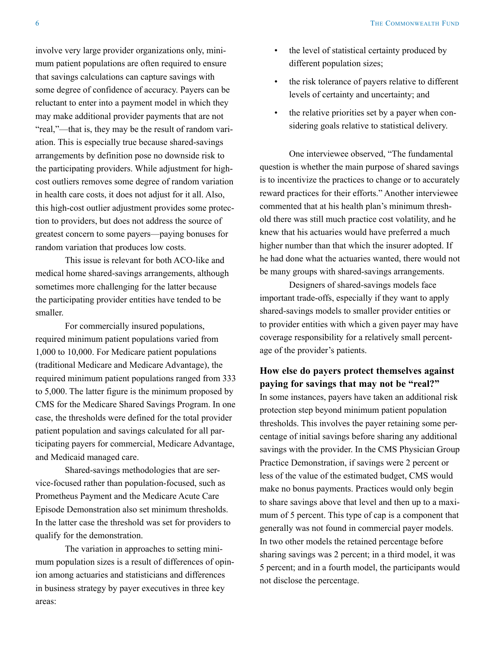involve very large provider organizations only, minimum patient populations are often required to ensure that savings calculations can capture savings with some degree of confidence of accuracy. Payers can be reluctant to enter into a payment model in which they may make additional provider payments that are not "real,"—that is, they may be the result of random variation. This is especially true because shared-savings arrangements by definition pose no downside risk to the participating providers. While adjustment for highcost outliers removes some degree of random variation in health care costs, it does not adjust for it all. Also, this high-cost outlier adjustment provides some protection to providers, but does not address the source of greatest concern to some payers—paying bonuses for random variation that produces low costs.

This issue is relevant for both ACO-like and medical home shared-savings arrangements, although sometimes more challenging for the latter because the participating provider entities have tended to be smaller.

For commercially insured populations, required minimum patient populations varied from 1,000 to 10,000. For Medicare patient populations (traditional Medicare and Medicare Advantage), the required minimum patient populations ranged from 333 to 5,000. The latter figure is the minimum proposed by CMS for the Medicare Shared Savings Program. In one case, the thresholds were defined for the total provider patient population and savings calculated for all participating payers for commercial, Medicare Advantage, and Medicaid managed care.

Shared-savings methodologies that are service-focused rather than population-focused, such as Prometheus Payment and the Medicare Acute Care Episode Demonstration also set minimum thresholds. In the latter case the threshold was set for providers to qualify for the demonstration.

The variation in approaches to setting minimum population sizes is a result of differences of opinion among actuaries and statisticians and differences in business strategy by payer executives in three key areas:

- the level of statistical certainty produced by different population sizes;
- the risk tolerance of payers relative to different levels of certainty and uncertainty; and
- the relative priorities set by a payer when considering goals relative to statistical delivery.

One interviewee observed, "The fundamental question is whether the main purpose of shared savings is to incentivize the practices to change or to accurately reward practices for their efforts." Another interviewee commented that at his health plan's minimum threshold there was still much practice cost volatility, and he knew that his actuaries would have preferred a much higher number than that which the insurer adopted. If he had done what the actuaries wanted, there would not be many groups with shared-savings arrangements.

Designers of shared-savings models face important trade-offs, especially if they want to apply shared-savings models to smaller provider entities or to provider entities with which a given payer may have coverage responsibility for a relatively small percentage of the provider's patients.

#### **How else do payers protect themselves against paying for savings that may not be "real?"**

In some instances, payers have taken an additional risk protection step beyond minimum patient population thresholds. This involves the payer retaining some percentage of initial savings before sharing any additional savings with the provider. In the CMS Physician Group Practice Demonstration, if savings were 2 percent or less of the value of the estimated budget, CMS would make no bonus payments. Practices would only begin to share savings above that level and then up to a maximum of 5 percent. This type of cap is a component that generally was not found in commercial payer models. In two other models the retained percentage before sharing savings was 2 percent; in a third model, it was 5 percent; and in a fourth model, the participants would not disclose the percentage.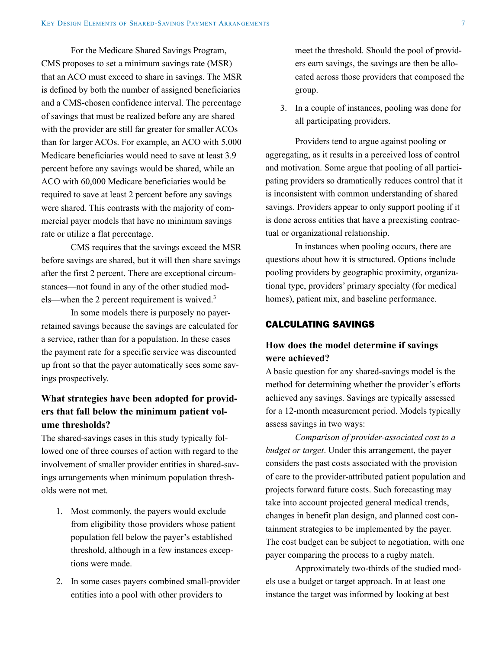For the Medicare Shared Savings Program, CMS proposes to set a minimum savings rate (MSR) that an ACO must exceed to share in savings. The MSR is defined by both the number of assigned beneficiaries and a CMS-chosen confidence interval. The percentage of savings that must be realized before any are shared with the provider are still far greater for smaller ACOs than for larger ACOs. For example, an ACO with 5,000 Medicare beneficiaries would need to save at least 3.9 percent before any savings would be shared, while an ACO with 60,000 Medicare beneficiaries would be required to save at least 2 percent before any savings were shared. This contrasts with the majority of commercial payer models that have no minimum savings rate or utilize a flat percentage.

CMS requires that the savings exceed the MSR before savings are shared, but it will then share savings after the first 2 percent. There are exceptional circumstances—not found in any of the other studied models—when the 2 percent requirement is waived.<sup>3</sup>

In some models there is purposely no payerretained savings because the savings are calculated for a service, rather than for a population. In these cases the payment rate for a specific service was discounted up front so that the payer automatically sees some savings prospectively.

## **What strategies have been adopted for providers that fall below the minimum patient volume thresholds?**

The shared-savings cases in this study typically followed one of three courses of action with regard to the involvement of smaller provider entities in shared-savings arrangements when minimum population thresholds were not met.

- 1. Most commonly, the payers would exclude from eligibility those providers whose patient population fell below the payer's established threshold, although in a few instances exceptions were made.
- 2. In some cases payers combined small-provider entities into a pool with other providers to

meet the threshold. Should the pool of providers earn savings, the savings are then be allocated across those providers that composed the group.

3. In a couple of instances, pooling was done for all participating providers.

Providers tend to argue against pooling or aggregating, as it results in a perceived loss of control and motivation. Some argue that pooling of all participating providers so dramatically reduces control that it is inconsistent with common understanding of shared savings. Providers appear to only support pooling if it is done across entities that have a preexisting contractual or organizational relationship.

In instances when pooling occurs, there are questions about how it is structured. Options include pooling providers by geographic proximity, organizational type, providers' primary specialty (for medical homes), patient mix, and baseline performance.

#### CALCULATING SAVINGS

## **How does the model determine if savings were achieved?**

A basic question for any shared-savings model is the method for determining whether the provider's efforts achieved any savings. Savings are typically assessed for a 12-month measurement period. Models typically assess savings in two ways:

*Comparison of provider-associated cost to a budget or target*. Under this arrangement, the payer considers the past costs associated with the provision of care to the provider-attributed patient population and projects forward future costs. Such forecasting may take into account projected general medical trends, changes in benefit plan design, and planned cost containment strategies to be implemented by the payer. The cost budget can be subject to negotiation, with one payer comparing the process to a rugby match.

Approximately two-thirds of the studied models use a budget or target approach. In at least one instance the target was informed by looking at best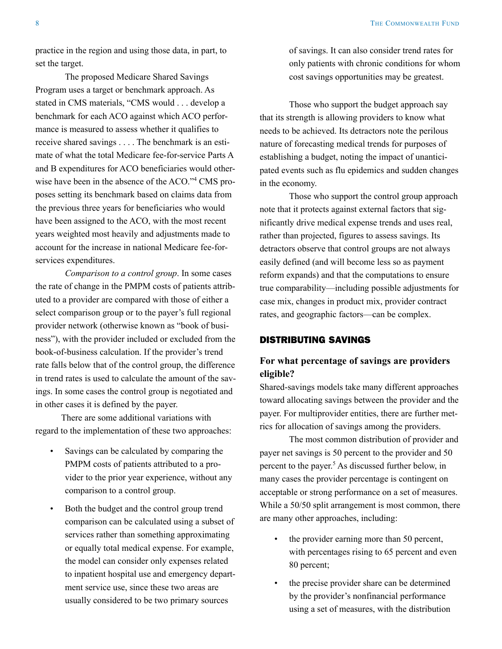practice in the region and using those data, in part, to set the target.

The proposed Medicare Shared Savings Program uses a target or benchmark approach. As stated in CMS materials, "CMS would . . . develop a benchmark for each ACO against which ACO performance is measured to assess whether it qualifies to receive shared savings . . . . The benchmark is an estimate of what the total Medicare fee-for-service Parts A and B expenditures for ACO beneficiaries would otherwise have been in the absence of the ACO."<sup>4</sup> CMS proposes setting its benchmark based on claims data from the previous three years for beneficiaries who would have been assigned to the ACO, with the most recent years weighted most heavily and adjustments made to account for the increase in national Medicare fee-forservices expenditures.

*Comparison to a control group*. In some cases the rate of change in the PMPM costs of patients attributed to a provider are compared with those of either a select comparison group or to the payer's full regional provider network (otherwise known as "book of business"), with the provider included or excluded from the book-of-business calculation. If the provider's trend rate falls below that of the control group, the difference in trend rates is used to calculate the amount of the savings. In some cases the control group is negotiated and in other cases it is defined by the payer.

There are some additional variations with regard to the implementation of these two approaches:

- Savings can be calculated by comparing the PMPM costs of patients attributed to a provider to the prior year experience, without any comparison to a control group.
- Both the budget and the control group trend comparison can be calculated using a subset of services rather than something approximating or equally total medical expense. For example, the model can consider only expenses related to inpatient hospital use and emergency department service use, since these two areas are usually considered to be two primary sources

of savings. It can also consider trend rates for only patients with chronic conditions for whom cost savings opportunities may be greatest.

Those who support the budget approach say that its strength is allowing providers to know what needs to be achieved. Its detractors note the perilous nature of forecasting medical trends for purposes of establishing a budget, noting the impact of unanticipated events such as flu epidemics and sudden changes in the economy.

Those who support the control group approach note that it protects against external factors that significantly drive medical expense trends and uses real, rather than projected, figures to assess savings. Its detractors observe that control groups are not always easily defined (and will become less so as payment reform expands) and that the computations to ensure true comparability—including possible adjustments for case mix, changes in product mix, provider contract rates, and geographic factors—can be complex.

#### DISTRIBUTING SAVINGS

#### **For what percentage of savings are providers eligible?**

Shared-savings models take many different approaches toward allocating savings between the provider and the payer. For multiprovider entities, there are further metrics for allocation of savings among the providers.

The most common distribution of provider and payer net savings is 50 percent to the provider and 50 percent to the payer.<sup>5</sup> As discussed further below, in many cases the provider percentage is contingent on acceptable or strong performance on a set of measures. While a 50/50 split arrangement is most common, there are many other approaches, including:

- the provider earning more than 50 percent, with percentages rising to 65 percent and even 80 percent;
- the precise provider share can be determined by the provider's nonfinancial performance using a set of measures, with the distribution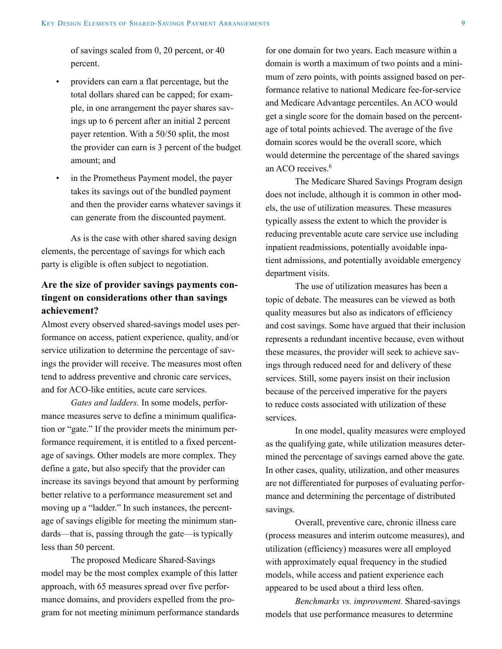of savings scaled from 0, 20 percent, or 40 percent.

- providers can earn a flat percentage, but the total dollars shared can be capped; for example, in one arrangement the payer shares savings up to 6 percent after an initial 2 percent payer retention. With a 50/50 split, the most the provider can earn is 3 percent of the budget amount; and
- in the Prometheus Payment model, the payer takes its savings out of the bundled payment and then the provider earns whatever savings it can generate from the discounted payment.

As is the case with other shared saving design elements, the percentage of savings for which each party is eligible is often subject to negotiation.

## **Are the size of provider savings payments contingent on considerations other than savings achievement?**

Almost every observed shared-savings model uses performance on access, patient experience, quality, and/or service utilization to determine the percentage of savings the provider will receive. The measures most often tend to address preventive and chronic care services, and for ACO-like entities, acute care services.

*Gates and ladders.* In some models, performance measures serve to define a minimum qualification or "gate." If the provider meets the minimum performance requirement, it is entitled to a fixed percentage of savings. Other models are more complex. They define a gate, but also specify that the provider can increase its savings beyond that amount by performing better relative to a performance measurement set and moving up a "ladder." In such instances, the percentage of savings eligible for meeting the minimum standards—that is, passing through the gate—is typically less than 50 percent.

The proposed Medicare Shared-Savings model may be the most complex example of this latter approach, with 65 measures spread over five performance domains, and providers expelled from the program for not meeting minimum performance standards for one domain for two years. Each measure within a domain is worth a maximum of two points and a minimum of zero points, with points assigned based on performance relative to national Medicare fee-for-service and Medicare Advantage percentiles. An ACO would get a single score for the domain based on the percentage of total points achieved. The average of the five domain scores would be the overall score, which would determine the percentage of the shared savings an ACO receives.<sup>6</sup>

The Medicare Shared Savings Program design does not include, although it is common in other models, the use of utilization measures. These measures typically assess the extent to which the provider is reducing preventable acute care service use including inpatient readmissions, potentially avoidable inpatient admissions, and potentially avoidable emergency department visits.

The use of utilization measures has been a topic of debate. The measures can be viewed as both quality measures but also as indicators of efficiency and cost savings. Some have argued that their inclusion represents a redundant incentive because, even without these measures, the provider will seek to achieve savings through reduced need for and delivery of these services. Still, some payers insist on their inclusion because of the perceived imperative for the payers to reduce costs associated with utilization of these services.

In one model, quality measures were employed as the qualifying gate, while utilization measures determined the percentage of savings earned above the gate. In other cases, quality, utilization, and other measures are not differentiated for purposes of evaluating performance and determining the percentage of distributed savings.

Overall, preventive care, chronic illness care (process measures and interim outcome measures), and utilization (efficiency) measures were all employed with approximately equal frequency in the studied models, while access and patient experience each appeared to be used about a third less often.

*Benchmarks vs. improvement.* Shared-savings models that use performance measures to determine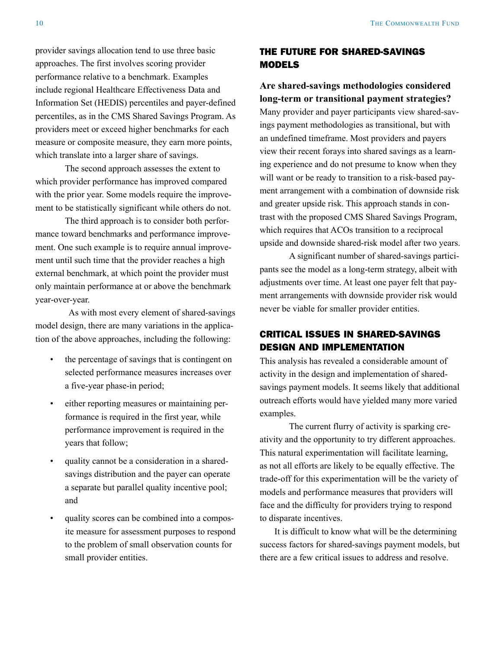provider savings allocation tend to use three basic approaches. The first involves scoring provider performance relative to a benchmark. Examples include regional Healthcare Effectiveness Data and Information Set (HEDIS) percentiles and payer-defined percentiles, as in the CMS Shared Savings Program. As providers meet or exceed higher benchmarks for each measure or composite measure, they earn more points, which translate into a larger share of savings.

The second approach assesses the extent to which provider performance has improved compared with the prior year. Some models require the improvement to be statistically significant while others do not.

The third approach is to consider both performance toward benchmarks and performance improvement. One such example is to require annual improvement until such time that the provider reaches a high external benchmark, at which point the provider must only maintain performance at or above the benchmark year-over-year.

As with most every element of shared-savings model design, there are many variations in the application of the above approaches, including the following:

- the percentage of savings that is contingent on selected performance measures increases over a five-year phase-in period;
- either reporting measures or maintaining performance is required in the first year, while performance improvement is required in the years that follow;
- quality cannot be a consideration in a sharedsavings distribution and the payer can operate a separate but parallel quality incentive pool; and
- quality scores can be combined into a composite measure for assessment purposes to respond to the problem of small observation counts for small provider entities.

## THE FUTURE FOR SHARED-SAVINGS MODELS

**Are shared-savings methodologies considered long-term or transitional payment strategies?**

Many provider and payer participants view shared-savings payment methodologies as transitional, but with an undefined timeframe. Most providers and payers view their recent forays into shared savings as a learning experience and do not presume to know when they will want or be ready to transition to a risk-based payment arrangement with a combination of downside risk and greater upside risk. This approach stands in contrast with the proposed CMS Shared Savings Program, which requires that ACOs transition to a reciprocal upside and downside shared-risk model after two years.

A significant number of shared-savings participants see the model as a long-term strategy, albeit with adjustments over time. At least one payer felt that payment arrangements with downside provider risk would never be viable for smaller provider entities.

## CRITICAL ISSUES IN SHARED-SAVINGS DESIGN AND IMPLEMENTATION

This analysis has revealed a considerable amount of activity in the design and implementation of sharedsavings payment models. It seems likely that additional outreach efforts would have yielded many more varied examples.

The current flurry of activity is sparking creativity and the opportunity to try different approaches. This natural experimentation will facilitate learning, as not all efforts are likely to be equally effective. The trade-off for this experimentation will be the variety of models and performance measures that providers will face and the difficulty for providers trying to respond to disparate incentives.

It is difficult to know what will be the determining success factors for shared-savings payment models, but there are a few critical issues to address and resolve.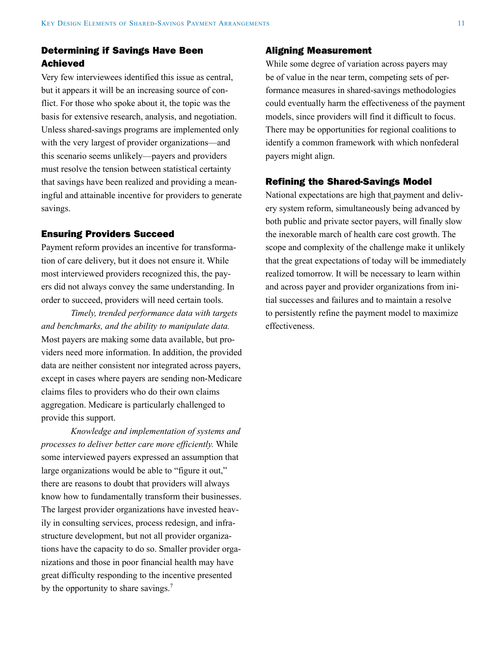#### Determining if Savings Have Been Achieved

Very few interviewees identified this issue as central, but it appears it will be an increasing source of conflict. For those who spoke about it, the topic was the basis for extensive research, analysis, and negotiation. Unless shared-savings programs are implemented only with the very largest of provider organizations—and this scenario seems unlikely—payers and providers must resolve the tension between statistical certainty that savings have been realized and providing a meaningful and attainable incentive for providers to generate savings.

#### Ensuring Providers Succeed

Payment reform provides an incentive for transformation of care delivery, but it does not ensure it. While most interviewed providers recognized this, the payers did not always convey the same understanding. In order to succeed, providers will need certain tools.

*Timely, trended performance data with targets and benchmarks, and the ability to manipulate data.* Most payers are making some data available, but providers need more information. In addition, the provided data are neither consistent nor integrated across payers, except in cases where payers are sending non-Medicare claims files to providers who do their own claims aggregation. Medicare is particularly challenged to provide this support.

*Knowledge and implementation of systems and processes to deliver better care more efficiently.* While some interviewed payers expressed an assumption that large organizations would be able to "figure it out," there are reasons to doubt that providers will always know how to fundamentally transform their businesses. The largest provider organizations have invested heavily in consulting services, process redesign, and infrastructure development, but not all provider organizations have the capacity to do so. Smaller provider organizations and those in poor financial health may have great difficulty responding to the incentive presented by the opportunity to share savings.<sup>7</sup>

#### Aligning Measurement

While some degree of variation across payers may be of value in the near term, competing sets of performance measures in shared-savings methodologies could eventually harm the effectiveness of the payment models, since providers will find it difficult to focus. There may be opportunities for regional coalitions to identify a common framework with which nonfederal payers might align.

#### Refining the Shared-Savings Model

National expectations are high that payment and delivery system reform, simultaneously being advanced by both public and private sector payers, will finally slow the inexorable march of health care cost growth. The scope and complexity of the challenge make it unlikely that the great expectations of today will be immediately realized tomorrow. It will be necessary to learn within and across payer and provider organizations from initial successes and failures and to maintain a resolve to persistently refine the payment model to maximize effectiveness.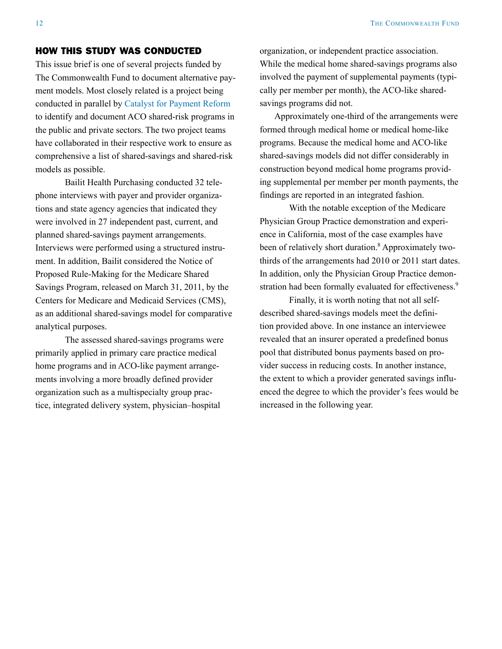#### HOW THIS STUDY WAS CONDUCTED

This issue brief is one of several projects funded by The Commonwealth Fund to document alternative payment models. Most closely related is a project being conducted in parallel by [Catalyst for Payment Reform](http://www.commonwealthfund.org/Publications/Fund-Reports/2011/Jul/Promising-Payment-Reform.aspx) to identify and document ACO shared-risk programs in the public and private sectors. The two project teams have collaborated in their respective work to ensure as comprehensive a list of shared-savings and shared-risk models as possible.

Bailit Health Purchasing conducted 32 telephone interviews with payer and provider organizations and state agency agencies that indicated they were involved in 27 independent past, current, and planned shared-savings payment arrangements. Interviews were performed using a structured instrument. In addition, Bailit considered the Notice of Proposed Rule-Making for the Medicare Shared Savings Program, released on March 31, 2011, by the Centers for Medicare and Medicaid Services (CMS), as an additional shared-savings model for comparative analytical purposes.

The assessed shared-savings programs were primarily applied in primary care practice medical home programs and in ACO-like payment arrangements involving a more broadly defined provider organization such as a multispecialty group practice, integrated delivery system, physician–hospital

organization, or independent practice association. While the medical home shared-savings programs also involved the payment of supplemental payments (typically per member per month), the ACO-like sharedsavings programs did not.

Approximately one-third of the arrangements were formed through medical home or medical home-like programs. Because the medical home and ACO-like shared-savings models did not differ considerably in construction beyond medical home programs providing supplemental per member per month payments, the findings are reported in an integrated fashion.

With the notable exception of the Medicare Physician Group Practice demonstration and experience in California, most of the case examples have been of relatively short duration.<sup>8</sup> Approximately twothirds of the arrangements had 2010 or 2011 start dates. In addition, only the Physician Group Practice demonstration had been formally evaluated for effectiveness.<sup>9</sup>

Finally, it is worth noting that not all selfdescribed shared-savings models meet the definition provided above. In one instance an interviewee revealed that an insurer operated a predefined bonus pool that distributed bonus payments based on provider success in reducing costs. In another instance, the extent to which a provider generated savings influenced the degree to which the provider's fees would be increased in the following year.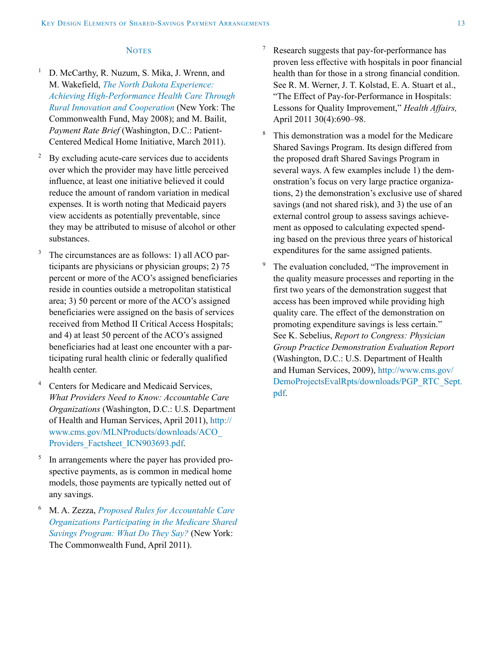#### **NOTES**

- <sup>1</sup> D. McCarthy, R. Nuzum, S. Mika, J. Wrenn, and M. Wakefield, *[The North Dakota Experience:](http://www.commonwealthfund.org/Publications/Fund-Reports/2008/May/The-North-Dakota-Experience--Achieving-High-Performance-Health-Care-Through-Rural-Innovation-and-Coo.aspx)  [Achieving High-Performance Health Care Through](http://www.commonwealthfund.org/Publications/Fund-Reports/2008/May/The-North-Dakota-Experience--Achieving-High-Performance-Health-Care-Through-Rural-Innovation-and-Coo.aspx)  [Rural Innovation and Cooperation](http://www.commonwealthfund.org/Publications/Fund-Reports/2008/May/The-North-Dakota-Experience--Achieving-High-Performance-Health-Care-Through-Rural-Innovation-and-Coo.aspx)* (New York: The Commonwealth Fund, May 2008); and M. Bailit, *Payment Rate Brief* (Washington, D.C.: Patient-Centered Medical Home Initiative, March 2011).
- <sup>2</sup> By excluding acute-care services due to accidents over which the provider may have little perceived influence, at least one initiative believed it could reduce the amount of random variation in medical expenses. It is worth noting that Medicaid payers view accidents as potentially preventable, since they may be attributed to misuse of alcohol or other substances.
- <sup>3</sup> The circumstances are as follows: 1) all ACO participants are physicians or physician groups; 2) 75 percent or more of the ACO's assigned beneficiaries reside in counties outside a metropolitan statistical area; 3) 50 percent or more of the ACO's assigned beneficiaries were assigned on the basis of services received from Method II Critical Access Hospitals; and 4) at least 50 percent of the ACO's assigned beneficiaries had at least one encounter with a participating rural health clinic or federally qualified health center.
- <sup>4</sup> Centers for Medicare and Medicaid Services, *What Providers Need to Know: Accountable Care Organizations* (Washington, D.C.: U.S. Department of Health and Human Services, April 2011), [http://](http://www.cms.gov/MLNProducts/downloads/ACO_Providers_Factsheet_ICN903693.pdf) [www.cms.gov/MLNProducts/downloads/ACO\\_](http://www.cms.gov/MLNProducts/downloads/ACO_Providers_Factsheet_ICN903693.pdf) [Providers\\_Factsheet\\_ICN903693.pdf.](http://www.cms.gov/MLNProducts/downloads/ACO_Providers_Factsheet_ICN903693.pdf)
- <sup>5</sup> In arrangements where the payer has provided prospective payments, as is common in medical home models, those payments are typically netted out of any savings.
- <sup>6</sup> M. A. Zezza, *[Proposed Rules for Accountable Care](http://www.commonwealthfund.org/Publications/Other/2011/Proposed-Rules-for-ACOs.aspx)  [Organizations Participating in the Medicare Shared](http://www.commonwealthfund.org/Publications/Other/2011/Proposed-Rules-for-ACOs.aspx)  [Savings Program: What Do They Say?](http://www.commonwealthfund.org/Publications/Other/2011/Proposed-Rules-for-ACOs.aspx)* (New York: The Commonwealth Fund, April 2011).
- <sup>7</sup> Research suggests that pay-for-performance has proven less effective with hospitals in poor financial health than for those in a strong financial condition. See R. M. Werner, J. T. Kolstad, E. A. Stuart et al., "The Effect of Pay-for-Performance in Hospitals: Lessons for Quality Improvement," *Health Affairs,* April 2011 30(4):690–98.
- <sup>8</sup> This demonstration was a model for the Medicare Shared Savings Program. Its design differed from the proposed draft Shared Savings Program in several ways. A few examples include 1) the demonstration's focus on very large practice organizations, 2) the demonstration's exclusive use of shared savings (and not shared risk), and 3) the use of an external control group to assess savings achievement as opposed to calculating expected spending based on the previous three years of historical expenditures for the same assigned patients.
- <sup>9</sup> The evaluation concluded, "The improvement in the quality measure processes and reporting in the first two years of the demonstration suggest that access has been improved while providing high quality care. The effect of the demonstration on promoting expenditure savings is less certain." See K. Sebelius, *Report to Congress: Physician Group Practice Demonstration Evaluation Report* (Washington, D.C.: U.S. Department of Health and Human Services, 2009), [http://www.cms.gov/](http://www.cms.gov/DemoProjectsEvalRpts/downloads/PGP_RTC_Sept.pdf) [DemoProjectsEvalRpts/downloads/PGP\\_RTC\\_Sept.](http://www.cms.gov/DemoProjectsEvalRpts/downloads/PGP_RTC_Sept.pdf) [pdf](http://www.cms.gov/DemoProjectsEvalRpts/downloads/PGP_RTC_Sept.pdf).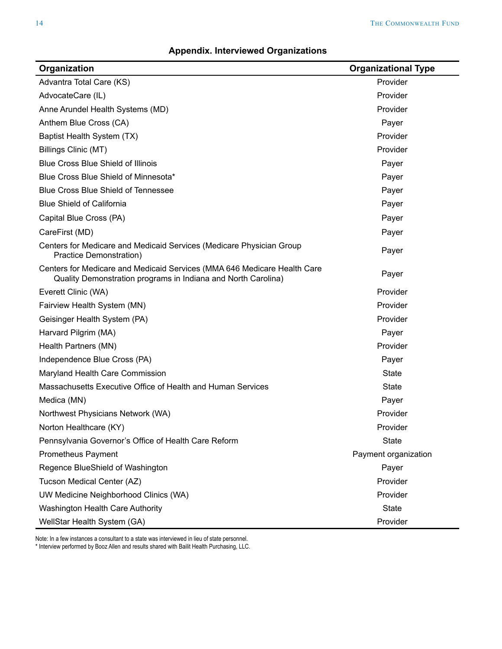| Organization                                                                                                                              | <b>Organizational Type</b> |
|-------------------------------------------------------------------------------------------------------------------------------------------|----------------------------|
| Advantra Total Care (KS)                                                                                                                  | Provider                   |
| AdvocateCare (IL)                                                                                                                         | Provider                   |
| Anne Arundel Health Systems (MD)                                                                                                          | Provider                   |
| Anthem Blue Cross (CA)                                                                                                                    | Payer                      |
| Baptist Health System (TX)                                                                                                                | Provider                   |
| Billings Clinic (MT)                                                                                                                      | Provider                   |
| <b>Blue Cross Blue Shield of Illinois</b>                                                                                                 | Payer                      |
| Blue Cross Blue Shield of Minnesota*                                                                                                      | Payer                      |
| <b>Blue Cross Blue Shield of Tennessee</b>                                                                                                | Payer                      |
| <b>Blue Shield of California</b>                                                                                                          | Payer                      |
| Capital Blue Cross (PA)                                                                                                                   | Payer                      |
| CareFirst (MD)                                                                                                                            | Payer                      |
| Centers for Medicare and Medicaid Services (Medicare Physician Group<br>Practice Demonstration)                                           | Payer                      |
| Centers for Medicare and Medicaid Services (MMA 646 Medicare Health Care<br>Quality Demonstration programs in Indiana and North Carolina) | Payer                      |
| Everett Clinic (WA)                                                                                                                       | Provider                   |
| Fairview Health System (MN)                                                                                                               | Provider                   |
| Geisinger Health System (PA)                                                                                                              | Provider                   |
| Harvard Pilgrim (MA)                                                                                                                      | Payer                      |
| Health Partners (MN)                                                                                                                      | Provider                   |
| Independence Blue Cross (PA)                                                                                                              | Payer                      |
| Maryland Health Care Commission                                                                                                           | <b>State</b>               |
| Massachusetts Executive Office of Health and Human Services                                                                               | <b>State</b>               |
| Medica (MN)                                                                                                                               | Payer                      |
| Northwest Physicians Network (WA)                                                                                                         | Provider                   |
| Norton Healthcare (KY)                                                                                                                    | Provider                   |
| Pennsylvania Governor's Office of Health Care Reform                                                                                      | <b>State</b>               |
| <b>Prometheus Payment</b>                                                                                                                 | Payment organization       |
| Regence BlueShield of Washington                                                                                                          | Payer                      |
| Tucson Medical Center (AZ)                                                                                                                | Provider                   |
| UW Medicine Neighborhood Clinics (WA)                                                                                                     | Provider                   |
| Washington Health Care Authority                                                                                                          | <b>State</b>               |
| WellStar Health System (GA)                                                                                                               | Provider                   |

#### **Appendix. Interviewed Organizations**

Note: In a few instances a consultant to a state was interviewed in lieu of state personnel.

\* Interview performed by Booz Allen and results shared with Bailit Health Purchasing, LLC.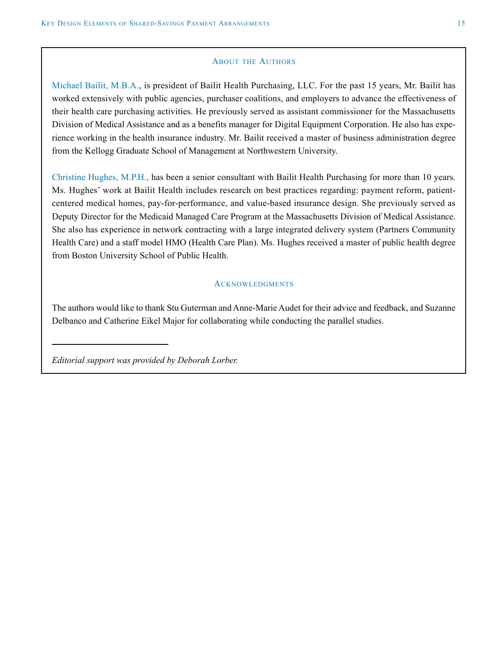#### ABOUT THE AUTHORS

Michael Bailit, M.B.A., is president of Bailit Health Purchasing, LLC. For the past 15 years, Mr. Bailit has worked extensively with public agencies, purchaser coalitions, and employers to advance the effectiveness of their health care purchasing activities. He previously served as assistant commissioner for the Massachusetts Division of Medical Assistance and as a benefits manager for Digital Equipment Corporation. He also has experience working in the health insurance industry. Mr. Bailit received a master of business administration degree from the Kellogg Graduate School of Management at Northwestern University.

Christine Hughes, M.P.H., has been a senior consultant with Bailit Health Purchasing for more than 10 years. Ms. Hughes' work at Bailit Health includes research on best practices regarding: payment reform, patientcentered medical homes, pay-for-performance, and value-based insurance design. She previously served as Deputy Director for the Medicaid Managed Care Program at the Massachusetts Division of Medical Assistance. She also has experience in network contracting with a large integrated delivery system (Partners Community Health Care) and a staff model HMO (Health Care Plan). Ms. Hughes received a master of public health degree from Boston University School of Public Health.

#### **ACKNOWLEDGMENTS**

The authors would like to thank Stu Guterman and Anne-Marie Audet for their advice and feedback, and Suzanne Delbanco and Catherine Eikel Major for collaborating while conducting the parallel studies.

*Editorial support was provided by Deborah Lorber.*